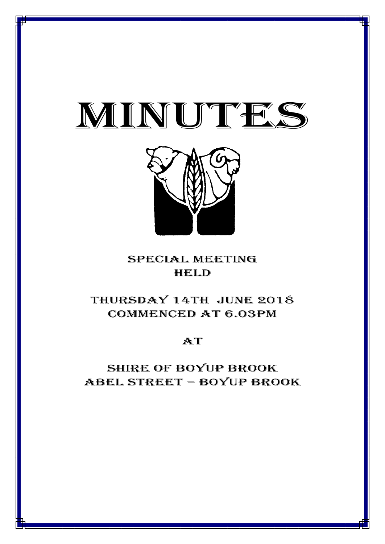

 $\mathcal{M}$  and  $\mathcal{M}$  and  $\mathcal{M}$  and  $\mathcal{M}$  and  $\mathcal{M}$  and  $\mathcal{M}$  and  $\mathcal{M}$  and  $\mathcal{M}$  and  $\mathcal{M}$  and  $\mathcal{M}$  are  $\mathcal{M}$  and  $\mathcal{M}$  and  $\mathcal{M}$  are  $\mathcal{M}$  and  $\mathcal{M}$  are  $\mathcal{M}$  and  $\mathcal{M}$  are



# special meeting **HELD**

# THursday 14th June 2018 CommencED at 6.03PM

# **AT**

# Shire of boyup brook ABEL STREET – BOYUP BROOK

1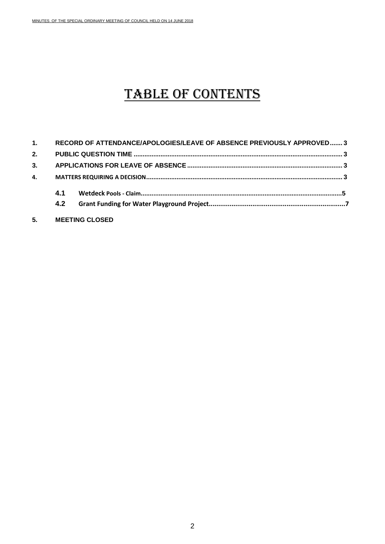# TABLE OF CONTENTS

| 1. |     | RECORD OF ATTENDANCE/APOLOGIES/LEAVE OF ABSENCE PREVIOUSLY APPROVED 3 |  |  |  |  |
|----|-----|-----------------------------------------------------------------------|--|--|--|--|
| 2. |     |                                                                       |  |  |  |  |
| 3. |     |                                                                       |  |  |  |  |
| 4. |     |                                                                       |  |  |  |  |
|    | 4.1 |                                                                       |  |  |  |  |
|    | 4.2 |                                                                       |  |  |  |  |
|    |     |                                                                       |  |  |  |  |

**5. MEETING CLOSED**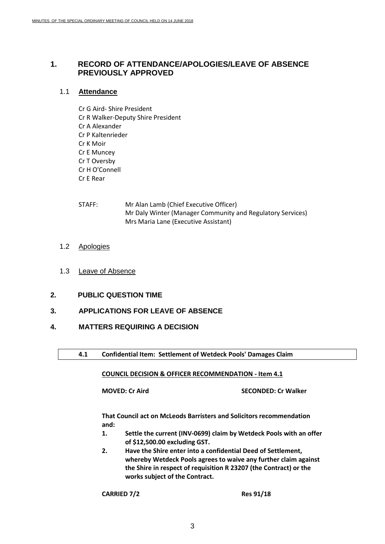# <span id="page-2-0"></span>**1. RECORD OF ATTENDANCE/APOLOGIES/LEAVE OF ABSENCE PREVIOUSLY APPROVED**

# 1.1 **Attendance**

Cr G Aird- Shire President Cr R Walker-Deputy Shire President Cr A Alexander Cr P Kaltenrieder Cr K Moir Cr E Muncey Cr T Oversby Cr H O'Connell Cr E Rear

- STAFF: Mr Alan Lamb (Chief Executive Officer) Mr Daly Winter (Manager Community and Regulatory Services) Mrs Maria Lane (Executive Assistant)
- 1.2 Apologies
- 1.3 Leave of Absence
- <span id="page-2-1"></span>**2. PUBLIC QUESTION TIME**
- <span id="page-2-2"></span>**3. APPLICATIONS FOR LEAVE OF ABSENCE**
- <span id="page-2-3"></span>**4. MATTERS REQUIRING A DECISION**
	- **4.1 Confidential Item: Settlement of Wetdeck Pools' Damages Claim**

# **COUNCIL DECISION & OFFICER RECOMMENDATION - Item 4.1**

**MOVED: Cr Aird SECONDED: Cr Walker**

**That Council act on McLeods Barristers and Solicitors recommendation and:**

- **1. Settle the current (INV-0699) claim by Wetdeck Pools with an offer of \$12,500.00 excluding GST.**
- **2. Have the Shire enter into a confidential Deed of Settlement, whereby Wetdeck Pools agrees to waive any further claim against the Shire in respect of requisition R 23207 (the Contract) or the works subject of the Contract.**

**CARRIED 7/2 Res 91/18**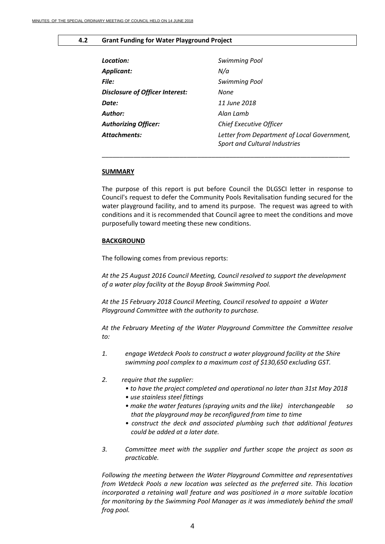#### **4.2 Grant Funding for Water Playground Project**

| Location:                       | <b>Swimming Pool</b>                                                                |  |  |  |
|---------------------------------|-------------------------------------------------------------------------------------|--|--|--|
| Applicant:                      | N/a                                                                                 |  |  |  |
| File:                           | <b>Swimming Pool</b>                                                                |  |  |  |
| Disclosure of Officer Interest: | None                                                                                |  |  |  |
| Date:                           | 11 June 2018                                                                        |  |  |  |
| Author:                         | Alan Lamb                                                                           |  |  |  |
| <b>Authorizing Officer:</b>     | <b>Chief Executive Officer</b>                                                      |  |  |  |
| Attachments:                    | Letter from Department of Local Government,<br><b>Sport and Cultural Industries</b> |  |  |  |

\_\_\_\_\_\_\_\_\_\_\_\_\_\_\_\_\_\_\_\_\_\_\_\_\_\_\_\_\_\_\_\_\_\_\_\_\_\_\_\_\_\_\_\_\_\_\_\_\_\_\_\_\_\_\_\_\_\_\_\_\_\_\_\_\_\_\_\_\_\_

#### **SUMMARY**

The purpose of this report is put before Council the DLGSCI letter in response to Council's request to defer the Community Pools Revitalisation funding secured for the water playground facility, and to amend its purpose. The request was agreed to with conditions and it is recommended that Council agree to meet the conditions and move purposefully toward meeting these new conditions.

#### **BACKGROUND**

The following comes from previous reports:

*At the 25 August 2016 Council Meeting, Council resolved to support the development of a water play facility at the Boyup Brook Swimming Pool.* 

*At the 15 February 2018 Council Meeting, Council resolved to appoint a Water Playground Committee with the authority to purchase.* 

*At the February Meeting of the Water Playground Committee the Committee resolve to:*

- *1. engage Wetdeck Pools to construct a water playground facility at the Shire swimming pool complex to a maximum cost of \$130,650 excluding GST.*
- *2. require that the supplier:*
	- *to have the project completed and operational no later than 31st May 2018*
	- *use stainless steel fittings*
	- *make the water features (spraying units and the like) interchangeable so that the playground may be reconfigured from time to time*
	- *construct the deck and associated plumbing such that additional features could be added at a later date.*
- *3. Committee meet with the supplier and further scope the project as soon as practicable.*

*Following the meeting between the Water Playground Committee and representatives from Wetdeck Pools a new location was selected as the preferred site. This location incorporated a retaining wall feature and was positioned in a more suitable location*  for monitoring by the Swimming Pool Manager as it was immediately behind the small *frog pool.*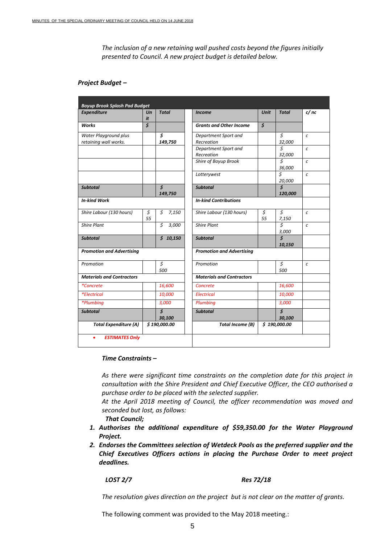*The inclusion of a new retaining wall pushed costs beyond the figures initially presented to Council. A new project budget is detailed below.*

## *Project Budget –*

| <b>Boyup Brook Splash Pad Budget</b>           |                                      |                                |                                    |             |                                           |                   |  |
|------------------------------------------------|--------------------------------------|--------------------------------|------------------------------------|-------------|-------------------------------------------|-------------------|--|
| <b>Expenditure</b>                             | Un<br>it                             | <b>Total</b>                   | <b>Income</b>                      | <b>Unit</b> | <b>Total</b>                              | c/nc              |  |
| <b>Works</b>                                   | $\overline{\boldsymbol{\mathsf{s}}}$ |                                | <b>Grants and Other Income</b>     | \$          |                                           |                   |  |
| Water Playground plus<br>retaining wall works. |                                      | Ś<br>149,750                   | Department Sport and<br>Recreation |             | \$<br>32,000                              | $\mathcal{C}_{0}$ |  |
|                                                |                                      |                                | Department Sport and<br>Recreation |             | Ś<br>32,000                               | $\epsilon$        |  |
|                                                |                                      |                                | Shire of Boyup Brook               |             | Ś<br>36,000                               | $\mathcal{C}$     |  |
|                                                |                                      |                                | Lotterywest                        |             | $\mathsf{\hat{S}}$<br>20,000              | $\mathcal{C}_{0}$ |  |
| <b>Subtotal</b>                                |                                      | $\mathsf{S}$<br>149,750        | <b>Subtotal</b>                    |             | $\overline{\mathbf{s}}$<br>120,000        |                   |  |
| <b>In-kind Work</b>                            |                                      | <b>In-kind Contributions</b>   |                                    |             |                                           |                   |  |
| Shire Labour (130 hours)                       | \$<br>55                             | \$<br>7,150                    | Shire Labour (130 hours)           | \$<br>55    | \$<br>7,150                               | $\epsilon$        |  |
| <b>Shire Plant</b>                             |                                      | Ś<br>3,000                     | <b>Shire Plant</b>                 |             | Ś<br>3,000                                | $\epsilon$        |  |
| <b>Subtotal</b>                                |                                      | \$10,150                       | <b>Subtotal</b>                    |             | $\mathsf{\hat{S}}$<br>10,150              |                   |  |
| <b>Promotion and Advertising</b>               |                                      |                                | <b>Promotion and Advertising</b>   |             |                                           |                   |  |
| Promotion                                      |                                      | \$<br>500                      | Promotion                          |             | \$<br>500                                 | $\epsilon$        |  |
| <b>Materials and Contractors</b>               |                                      |                                | <b>Materials and Contractors</b>   |             |                                           |                   |  |
| <i>*Concrete</i>                               |                                      | 16,600                         | Concrete                           |             | 16,600                                    |                   |  |
| <i>*Electrical</i>                             |                                      | 10,000                         | <b>Electrical</b>                  |             | 10,000                                    |                   |  |
| *Plumbing                                      |                                      | 3,000                          | Plumbing                           |             | 3,000                                     |                   |  |
| <b>Subtotal</b>                                |                                      | $\boldsymbol{\zeta}$<br>30,100 | <b>Subtotal</b>                    |             | $\overline{\boldsymbol{\zeta}}$<br>30,100 |                   |  |
| <b>Total Expenditure (A)</b><br>\$190,000.00   |                                      |                                | <b>Total Income (B)</b>            |             | \$190,000.00                              |                   |  |
| <b>ESTIMATES Only</b><br>٠                     |                                      |                                |                                    |             |                                           |                   |  |

# *Time Constraints –*

*As there were significant time constraints on the completion date for this project in consultation with the Shire President and Chief Executive Officer, the CEO authorised a purchase order to be placed with the selected supplier.*

*At the April 2018 meeting of Council, the officer recommendation was moved and seconded but lost, as follows:*

*That Council;*

- *1. Authorises the additional expenditure of \$59,350.00 for the Water Playground Project.*
- *2. Endorses the Committees selection of Wetdeck Pools as the preferred supplier and the Chief Executives Officers actions in placing the Purchase Order to meet project deadlines.*

#### *LOST 2/7 Res 72/18*

*The resolution gives direction on the project but is not clear on the matter of grants.* 

The following comment was provided to the May 2018 meeting.: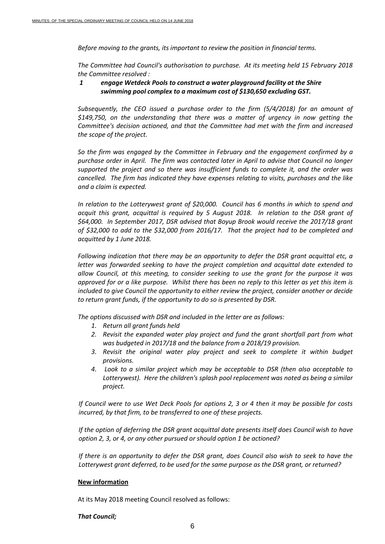*Before moving to the grants, its important to review the position in financial terms.*

*The Committee had Council's authorisation to purchase. At its meeting held 15 February 2018 the Committee resolved :*

# *1 engage Wetdeck Pools to construct a water playground facility at the Shire swimming pool complex to a maximum cost of \$130,650 excluding GST.*

*Subsequently, the CEO issued a purchase order to the firm (5/4/2018) for an amount of \$149,750, on the understanding that there was a matter of urgency in now getting the Committee's decision actioned, and that the Committee had met with the firm and increased the scope of the project.*

*So the firm was engaged by the Committee in February and the engagement confirmed by a purchase order in April. The firm was contacted later in April to advise that Council no longer supported the project and so there was insufficient funds to complete it, and the order was cancelled. The firm has indicated they have expenses relating to visits, purchases and the like and a claim is expected.*

*In relation to the Lotterywest grant of \$20,000. Council has 6 months in which to spend and acquit this grant, acquittal is required by 5 August 2018. In relation to the DSR grant of \$64,000. In September 2017, DSR advised that Boyup Brook would receive the 2017/18 grant of \$32,000 to add to the \$32,000 from 2016/17. That the project had to be completed and acquitted by 1 June 2018.* 

*Following indication that there may be an opportunity to defer the DSR grant acquittal etc, a letter was forwarded seeking to have the project completion and acquittal date extended to allow Council, at this meeting, to consider seeking to use the grant for the purpose it was approved for or a like purpose. Whilst there has been no reply to this letter as yet this item is included to give Council the opportunity to either review the project, consider another or decide to return grant funds, if the opportunity to do so is presented by DSR.*

*The options discussed with DSR and included in the letter are as follows:*

- *1. Return all grant funds held*
- *2. Revisit the expanded water play project and fund the grant shortfall part from what was budgeted in 2017/18 and the balance from a 2018/19 provision.*
- *3. Revisit the original water play project and seek to complete it within budget provisions.*
- *4. Look to a similar project which may be acceptable to DSR (then also acceptable to Lotterywest). Here the children's splash pool replacement was noted as being a similar project.*

*If Council were to use Wet Deck Pools for options 2, 3 or 4 then it may be possible for costs incurred, by that firm, to be transferred to one of these projects.* 

*If the option of deferring the DSR grant acquittal date presents itself does Council wish to have option 2, 3, or 4, or any other pursued or should option 1 be actioned?*

*If there is an opportunity to defer the DSR grant, does Council also wish to seek to have the Lotterywest grant deferred, to be used for the same purpose as the DSR grant, or returned?*

# **New information**

At its May 2018 meeting Council resolved as follows:

*That Council;*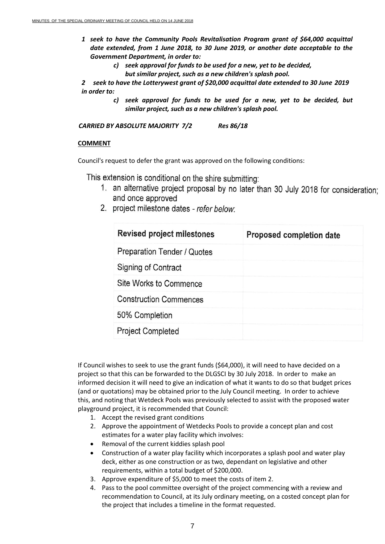- *1 seek to have the Community Pools Revitalisation Program grant of \$64,000 acquittal date extended, from 1 June 2018, to 30 June 2019, or another date acceptable to the Government Department, in order to:* 
	- *c) seek approval for funds to be used for a new, yet to be decided,* 
		- *but similar project, such as a new children's splash pool.*

*2 seek to have the Lotterywest grant of \$20,000 acquittal date extended to 30 June 2019 in order to:*

> *c) seek approval for funds to be used for a new, yet to be decided, but similar project, such as a new children's splash pool.*

*CARRIED BY ABSOLUTE MAJORITY 7/2 Res 86/18*

# **COMMENT**

Council's request to defer the grant was approved on the following conditions:

This extension is conditional on the shire submitting:

- 1. an alternative project proposal by no later than 30 July 2018 for consideration; and once approved
- 2. project milestone dates refer below:

| <b>Revised project milestones</b> | Proposed completion date |
|-----------------------------------|--------------------------|
| Preparation Tender / Quotes       |                          |
| Signing of Contract               |                          |
| Site Works to Commence            |                          |
| <b>Construction Commences</b>     |                          |
| 50% Completion                    |                          |
| <b>Project Completed</b>          |                          |

If Council wishes to seek to use the grant funds (\$64,000), it will need to have decided on a project so that this can be forwarded to the DLGSCI by 30 July 2018. In order to make an informed decision it will need to give an indication of what it wants to do so that budget prices (and or quotations) may be obtained prior to the July Council meeting. In order to achieve this, and noting that Wetdeck Pools was previously selected to assist with the proposed water playground project, it is recommended that Council:

- 1. Accept the revised grant conditions
- 2. Approve the appointment of Wetdecks Pools to provide a concept plan and cost estimates for a water play facility which involves:
- Removal of the current kiddies splash pool
- Construction of a water play facility which incorporates a splash pool and water play deck, either as one construction or as two, dependant on legislative and other requirements, within a total budget of \$200,000.
- 3. Approve expenditure of \$5,000 to meet the costs of item 2.
- 4. Pass to the pool committee oversight of the project commencing with a review and recommendation to Council, at its July ordinary meeting, on a costed concept plan for the project that includes a timeline in the format requested.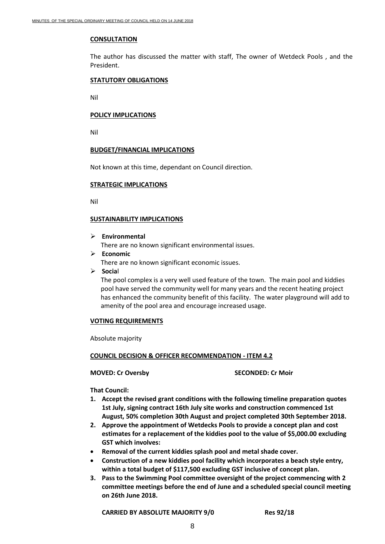# **CONSULTATION**

The author has discussed the matter with staff, The owner of Wetdeck Pools , and the President.

## **STATUTORY OBLIGATIONS**

Nil

## **POLICY IMPLICATIONS**

Nil

# **BUDGET/FINANCIAL IMPLICATIONS**

Not known at this time, dependant on Council direction.

## **STRATEGIC IMPLICATIONS**

Nil

# **SUSTAINABILITY IMPLICATIONS**

**Environmental**

There are no known significant environmental issues.

**Economic**

There are no known significant economic issues.

**Socia**l

The pool complex is a very well used feature of the town. The main pool and kiddies pool have served the community well for many years and the recent heating project has enhanced the community benefit of this facility. The water playground will add to amenity of the pool area and encourage increased usage.

## **VOTING REQUIREMENTS**

Absolute majority

## **COUNCIL DECISION & OFFICER RECOMMENDATION - ITEM 4.2**

**MOVED: Cr Oversby SECONDED: Cr Moir**

**That Council:** 

- **1. Accept the revised grant conditions with the following timeline preparation quotes 1st July, signing contract 16th July site works and construction commenced 1st August, 50% completion 30th August and project completed 30th September 2018.**
- **2. Approve the appointment of Wetdecks Pools to provide a concept plan and cost estimates for a replacement of the kiddies pool to the value of \$5,000.00 excluding GST which involves:**
- **Removal of the current kiddies splash pool and metal shade cover.**
- **Construction of a new kiddies pool facility which incorporates a beach style entry, within a total budget of \$117,500 excluding GST inclusive of concept plan.**
- **3. Pass to the Swimming Pool committee oversight of the project commencing with 2 committee meetings before the end of June and a scheduled special council meeting on 26th June 2018.**

**CARRIED BY ABSOLUTE MAJORITY 9/0 Res 92/18**